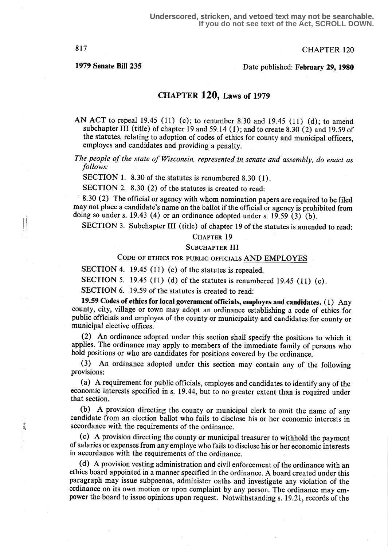817 CHAPTER 120

# 1979 Senate Bill 235 Date published: February 29, 1980

# CHAPTER  $120$ , Laws of 1979

AN ACT to repeal 19.45 (11) (c); to renumber 8.30 and 19.45 (11) (d); to amend subchapter III (title) of chapter 19 and 59.14 (1); and to create 8.30 (2) and 19.59 of the statutes, relating to adoption of codes of ethics for county and municipal officers, employes and candidates and providing a penalty.

The people of the state of Wisconsin, represented in senate and assembly, do enact as follows:

SECTION 1. 8.30 of the statutes is renumbered 8.30 (1).

SECTION 2. 8.30 (2) of the statutes is created to read:

8.30 (2) The official or agency with whom nomination papers are required to be filed may not place a candidate's name on the ballot if the official or agency is prohibited from doing so under s. 19.43 (4) or an ordinance adopted under s. 19.59 (3) (b).

SECTION 3. Subchapter III (title) of chapter 19 of the statutes is amended to read:

### CHAPTER 19

#### SUBCHAPTER III

CODE OF ETHICS FOR PUBLIC OFFICIALS AND EMPLOYES

SECTION 4. 19.45 (11) (c) of the statutes is repealed.

SECTION 5. 19.45 (11) (d) of the statutes is renumbered 19.45 (11) (c).

SECTION 6. 19.59 of the statutes is created to read:

19.59 Codes of ethics for local government officials, employes and candidates . (1) Any county, city, village or town may adopt an ordinance establishing a code of ethics for public officials and employes of the county or municipality and candidates for county or municipal elective offices.

(2) An ordinance adopted under this section shall specify the positions to which it applies. The ordinance may apply to members of the immediate family of persons who hold positions or who are candidates for positions covered by the ordinance.

(3) An ordinance adopted under this section may contain any of the following provisions:

(a) A requirement for public officials, employes and candidates to identify any of the economic interests specified in s. 19 .44, but to no greater extent than is required under that section.

(b) A provision directing the county or municipal clerk to omit the name of any candidate from an election ballot who fails to disclose his or her economic interests in accordance with the requirements of the ordinance.

(c) A provision directing the county or municipal treasurer to withhold the payment of salaries or expenses from any employe who fails to disclose his or her economic interests in accordance with the requirements of the ordinance.

(d) A provision vesting administration and civil enforcement of the ordinance with an ethics board appointed in a manner specified in the ordinance. A board created under this paragraph may issue subpoenas, administer oaths and investigate any violation of the ordinance on its own motion or upon complaint by any person. The ordinance may empower the board to issue opinions upon request. Notwithstanding s. 19 .21, records of the